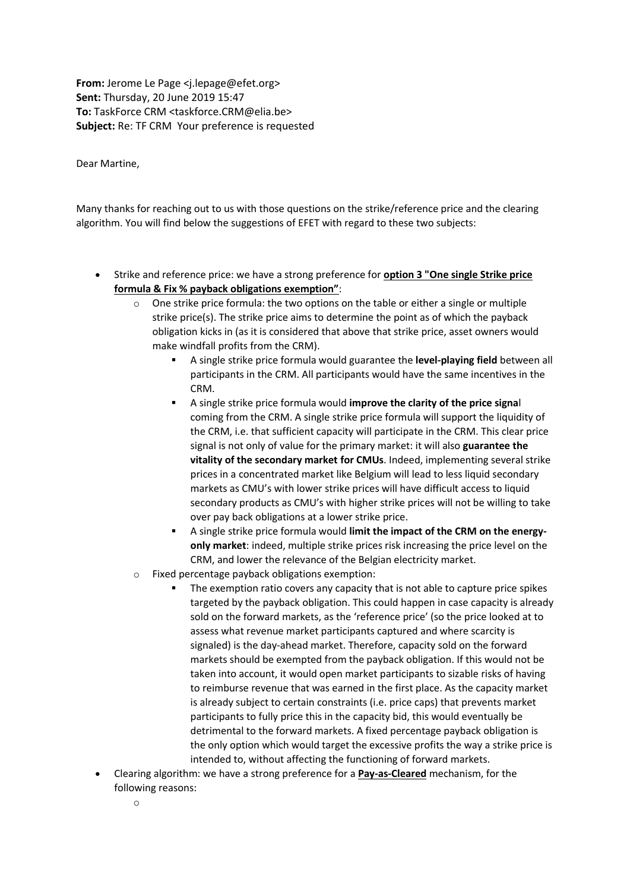**From:** Jerome Le Page <j.lepage@efet.org> **Sent:** Thursday, 20 June 2019 15:47 **To:** TaskForce CRM <taskforce.CRM@elia.be> **Subject:** Re: TF CRM Your preference is requested

Dear Martine,

Many thanks for reaching out to us with those questions on the strike/reference price and the clearing algorithm. You will find below the suggestions of EFET with regard to these two subjects:

- Strike and reference price: we have a strong preference for **option 3 "One single Strike price formula & Fix % payback obligations exemption"**:
	- $\circ$  One strike price formula: the two options on the table or either a single or multiple strike price(s). The strike price aims to determine the point as of which the payback obligation kicks in (as it is considered that above that strike price, asset owners would make windfall profits from the CRM).
		- A single strike price formula would guarantee the **level-playing field** between all participants in the CRM. All participants would have the same incentives in the CRM.
		- A single strike price formula would **improve the clarity of the price signa**l coming from the CRM. A single strike price formula will support the liquidity of the CRM, i.e. that sufficient capacity will participate in the CRM. This clear price signal is not only of value for the primary market: it will also **guarantee the vitality of the secondary market for CMUs**. Indeed, implementing several strike prices in a concentrated market like Belgium will lead to less liquid secondary markets as CMU's with lower strike prices will have difficult access to liquid secondary products as CMU's with higher strike prices will not be willing to take over pay back obligations at a lower strike price.
		- A single strike price formula would **limit the impact of the CRM on the energyonly market**: indeed, multiple strike prices risk increasing the price level on the CRM, and lower the relevance of the Belgian electricity market.
	- o Fixed percentage payback obligations exemption:
		- The exemption ratio covers any capacity that is not able to capture price spikes targeted by the payback obligation. This could happen in case capacity is already sold on the forward markets, as the 'reference price' (so the price looked at to assess what revenue market participants captured and where scarcity is signaled) is the day-ahead market. Therefore, capacity sold on the forward markets should be exempted from the payback obligation. If this would not be taken into account, it would open market participants to sizable risks of having to reimburse revenue that was earned in the first place. As the capacity market is already subject to certain constraints (i.e. price caps) that prevents market participants to fully price this in the capacity bid, this would eventually be detrimental to the forward markets. A fixed percentage payback obligation is the only option which would target the excessive profits the way a strike price is intended to, without affecting the functioning of forward markets.
- Clearing algorithm: we have a strong preference for a **Pay-as-Cleared** mechanism, for the following reasons: